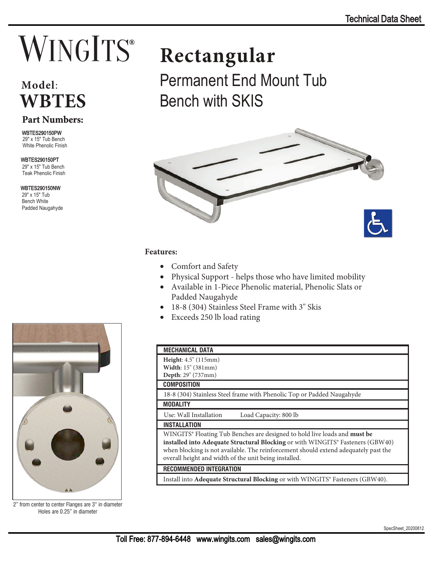# **WINGITS**®

### **Model**: **WBTES**

#### **Part Numbers:**

**WBTES290150PW** 29" x 15" Tub Bench White Phenolic Finish

#### WBTES290150PT

29" x 15" Tub Bench Teak Phenolic Finish

WBTES290150NW 29" x 15" Tub Bench White Padded Naugahyde



2" from center to center Flanges are 3" in diameter Holes are 0.25" in diameter

## **Rectangular**

Permanent End Mount Tub Bench with SKIS



#### **Features:**

- Comfort and Safety
- Physical Support helps those who have limited mobility
- Available in 1-Piece Phenolic material, Phenolic Slats or Padded Naugahyde
- 18-8 (304) Stainless Steel Frame with 3" Skis
- Exceeds 250 lb load rating

| <b>MECHANICAL DATA</b>                                                                                                                                                                                                                                                                                                         |
|--------------------------------------------------------------------------------------------------------------------------------------------------------------------------------------------------------------------------------------------------------------------------------------------------------------------------------|
| <b>Height:</b> 4.5" (115mm)                                                                                                                                                                                                                                                                                                    |
| Width: 15" (381mm)                                                                                                                                                                                                                                                                                                             |
| Depth: 29" (737mm)                                                                                                                                                                                                                                                                                                             |
| <b>COMPOSITION</b>                                                                                                                                                                                                                                                                                                             |
| 18-8 (304) Stainless Steel frame with Phenolic Top or Padded Naugahyde                                                                                                                                                                                                                                                         |
| <b>MODALITY</b>                                                                                                                                                                                                                                                                                                                |
| Use: Wall Installation<br>Load Capacity: 800 lb                                                                                                                                                                                                                                                                                |
| <b>INSTALLATION</b>                                                                                                                                                                                                                                                                                                            |
| WINGITS <sup>®</sup> Floating Tub Benches are designed to hold live loads and <b>must be</b><br>installed into Adequate Structural Blocking or with WINGITS® Fasteners (GBW40)<br>when blocking is not available. The reinforcement should extend adequately past the<br>overall height and width of the unit being installed. |
| <b>RECOMMENDED INTEGRATION</b>                                                                                                                                                                                                                                                                                                 |
| Install into Adequate Structural Blocking or with WINGITS® Fasteners (GBW40).                                                                                                                                                                                                                                                  |